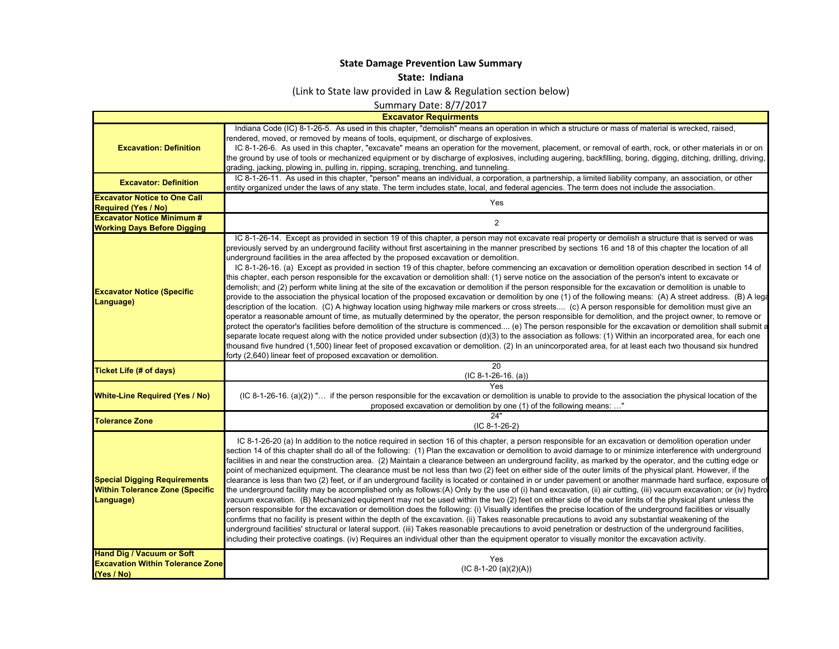## **State Damage Prevention Law Summary**

## **State: Indiana**

(Link to State law provided in Law & Regulation section below)

Summary Date: 8/7/2017

|                                                                                            | Summary Date: 8/7/2017                                                                                                                                                                                                                                                                                                                                                                                                                                                                                                                                                                                                                                                                                                                                                                                                                                                                                                                                                                                                                                                                                                                                                                                                                                                                                                                                                                                                                                                                                                                                                                                                                                                                                                                                                                                                                                                                                                                              |
|--------------------------------------------------------------------------------------------|-----------------------------------------------------------------------------------------------------------------------------------------------------------------------------------------------------------------------------------------------------------------------------------------------------------------------------------------------------------------------------------------------------------------------------------------------------------------------------------------------------------------------------------------------------------------------------------------------------------------------------------------------------------------------------------------------------------------------------------------------------------------------------------------------------------------------------------------------------------------------------------------------------------------------------------------------------------------------------------------------------------------------------------------------------------------------------------------------------------------------------------------------------------------------------------------------------------------------------------------------------------------------------------------------------------------------------------------------------------------------------------------------------------------------------------------------------------------------------------------------------------------------------------------------------------------------------------------------------------------------------------------------------------------------------------------------------------------------------------------------------------------------------------------------------------------------------------------------------------------------------------------------------------------------------------------------------|
| <b>Excavator Requirments</b>                                                               |                                                                                                                                                                                                                                                                                                                                                                                                                                                                                                                                                                                                                                                                                                                                                                                                                                                                                                                                                                                                                                                                                                                                                                                                                                                                                                                                                                                                                                                                                                                                                                                                                                                                                                                                                                                                                                                                                                                                                     |
| <b>Excavation: Definition</b>                                                              | Indiana Code (IC) 8-1-26-5. As used in this chapter, "demolish" means an operation in which a structure or mass of material is wrecked, raised,<br>rendered, moved, or removed by means of tools, equipment, or discharge of explosives.<br>IC 8-1-26-6. As used in this chapter, "excavate" means an operation for the movement, placement, or removal of earth, rock, or other materials in or on<br>the ground by use of tools or mechanized equipment or by discharge of explosives, including augering, backfilling, boring, digging, ditching, drilling, driving,<br>grading, jacking, plowing in, pulling in, ripping, scraping, trenching, and tunneling.                                                                                                                                                                                                                                                                                                                                                                                                                                                                                                                                                                                                                                                                                                                                                                                                                                                                                                                                                                                                                                                                                                                                                                                                                                                                                   |
| <b>Excavator: Definition</b>                                                               | IC 8-1-26-11. As used in this chapter, "person" means an individual, a corporation, a partnership, a limited liability company, an association, or other<br>entity organized under the laws of any state. The term includes state, local, and federal agencies. The term does not include the association.                                                                                                                                                                                                                                                                                                                                                                                                                                                                                                                                                                                                                                                                                                                                                                                                                                                                                                                                                                                                                                                                                                                                                                                                                                                                                                                                                                                                                                                                                                                                                                                                                                          |
| <b>Excavator Notice to One Call</b><br><b>Required (Yes / No)</b>                          | Yes                                                                                                                                                                                                                                                                                                                                                                                                                                                                                                                                                                                                                                                                                                                                                                                                                                                                                                                                                                                                                                                                                                                                                                                                                                                                                                                                                                                                                                                                                                                                                                                                                                                                                                                                                                                                                                                                                                                                                 |
| <b>Excavator Notice Minimum #</b><br><b>Working Days Before Digging</b>                    | $\overline{2}$                                                                                                                                                                                                                                                                                                                                                                                                                                                                                                                                                                                                                                                                                                                                                                                                                                                                                                                                                                                                                                                                                                                                                                                                                                                                                                                                                                                                                                                                                                                                                                                                                                                                                                                                                                                                                                                                                                                                      |
| <b>Excavator Notice (Specific</b><br>Language)                                             | IC 8-1-26-14. Except as provided in section 19 of this chapter, a person may not excavate real property or demolish a structure that is served or was<br>previously served by an underground facility without first ascertaining in the manner prescribed by sections 16 and 18 of this chapter the location of all<br>underground facilities in the area affected by the proposed excavation or demolition.<br>IC 8-1-26-16. (a) Except as provided in section 19 of this chapter, before commencing an excavation or demolition operation described in section 14 of<br>this chapter, each person responsible for the excavation or demolition shall: (1) serve notice on the association of the person's intent to excavate or<br>demolish; and (2) perform white lining at the site of the excavation or demolition if the person responsible for the excavation or demolition is unable to<br>provide to the association the physical location of the proposed excavation or demolition by one (1) of the following means: (A) A street address. (B) A lega<br>description of the location. (C) A highway location using highway mile markers or cross streets (c) A person responsible for demolition must give an<br>operator a reasonable amount of time, as mutually determined by the operator, the person responsible for demolition, and the project owner, to remove or<br>protect the operator's facilities before demolition of the structure is commenced (e) The person responsible for the excavation or demolition shall submit a<br>separate locate request along with the notice provided under subsection (d)(3) to the association as follows: (1) Within an incorporated area, for each one<br>thousand five hundred (1,500) linear feet of proposed excavation or demolition. (2) In an unincorporated area, for at least each two thousand six hundred<br>forty (2,640) linear feet of proposed excavation or demolition. |
| <b>Ticket Life (# of days)</b>                                                             | $\overline{20}$<br>$(IC 8-1-26-16. (a))$                                                                                                                                                                                                                                                                                                                                                                                                                                                                                                                                                                                                                                                                                                                                                                                                                                                                                                                                                                                                                                                                                                                                                                                                                                                                                                                                                                                                                                                                                                                                                                                                                                                                                                                                                                                                                                                                                                            |
| <b>White-Line Required (Yes / No)</b>                                                      | Yes<br>$(IC 8-1-26-16. (a)(2))$ " if the person responsible for the excavation or demolition is unable to provide to the association the physical location of the<br>proposed excavation or demolition by one (1) of the following means: "                                                                                                                                                                                                                                                                                                                                                                                                                                                                                                                                                                                                                                                                                                                                                                                                                                                                                                                                                                                                                                                                                                                                                                                                                                                                                                                                                                                                                                                                                                                                                                                                                                                                                                         |
| <b>Tolerance Zone</b>                                                                      | 24"<br>$(IC 8-1-26-2)$                                                                                                                                                                                                                                                                                                                                                                                                                                                                                                                                                                                                                                                                                                                                                                                                                                                                                                                                                                                                                                                                                                                                                                                                                                                                                                                                                                                                                                                                                                                                                                                                                                                                                                                                                                                                                                                                                                                              |
| <b>Special Digging Requirements</b><br><b>Within Tolerance Zone (Specific</b><br>Language) | IC 8-1-26-20 (a) In addition to the notice required in section 16 of this chapter, a person responsible for an excavation or demolition operation under<br>section 14 of this chapter shall do all of the following: (1) Plan the excavation or demolition to avoid damage to or minimize interference with underground<br>facilities in and near the construction area. (2) Maintain a clearance between an underground facility, as marked by the operator, and the cutting edge or<br>point of mechanized equipment. The clearance must be not less than two (2) feet on either side of the outer limits of the physical plant. However, if the<br>clearance is less than two (2) feet, or if an underground facility is located or contained in or under pavement or another manmade hard surface, exposure of<br>the underground facility may be accomplished only as follows:(A) Only by the use of (i) hand excavation, (ii) air cutting, (iii) vacuum excavation; or (iv) hydro<br>vacuum excavation. (B) Mechanized equipment may not be used within the two (2) feet on either side of the outer limits of the physical plant unless the<br>person responsible for the excavation or demolition does the following: (i) Visually identifies the precise location of the underground facilities or visually<br>confirms that no facility is present within the depth of the excavation. (ii) Takes reasonable precautions to avoid any substantial weakening of the<br>underground facilities' structural or lateral support. (iii) Takes reasonable precautions to avoid penetration or destruction of the underground facilities,<br>including their protective coatings. (iv) Requires an individual other than the equipment operator to visually monitor the excavation activity.                                                                                                                                                     |
| <b>Hand Dig / Vacuum or Soft</b><br><b>Excavation Within Tolerance Zone</b><br>(Yes / No)  | Yes<br>$(IC 8-1-20 (a)(2)(A))$                                                                                                                                                                                                                                                                                                                                                                                                                                                                                                                                                                                                                                                                                                                                                                                                                                                                                                                                                                                                                                                                                                                                                                                                                                                                                                                                                                                                                                                                                                                                                                                                                                                                                                                                                                                                                                                                                                                      |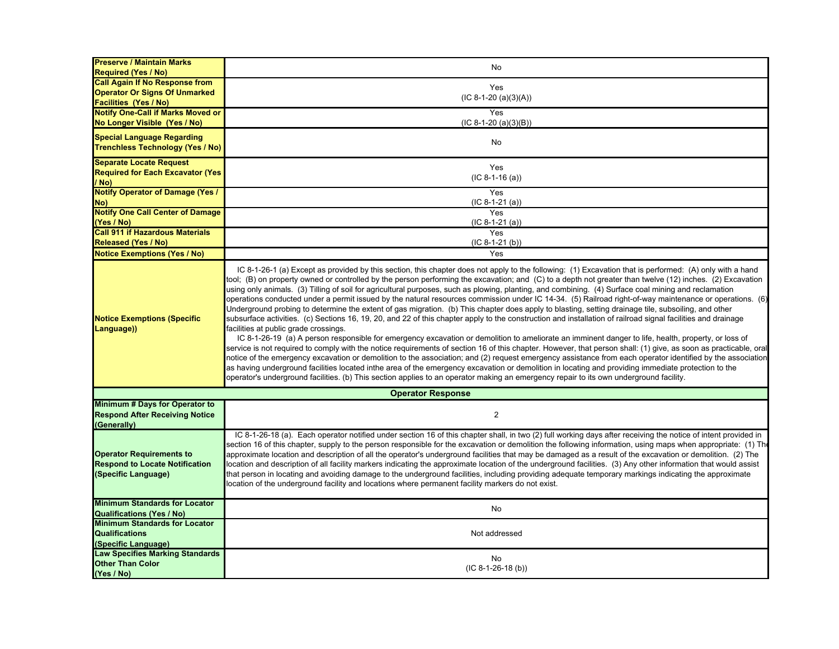| <b>Preserve / Maintain Marks</b><br><b>Required (Yes / No)</b> | No                                                                                                                                                               |
|----------------------------------------------------------------|------------------------------------------------------------------------------------------------------------------------------------------------------------------|
| <b>Call Again If No Response from</b>                          |                                                                                                                                                                  |
| <b>Operator Or Signs Of Unmarked</b>                           | Yes                                                                                                                                                              |
|                                                                | $(IC 8-1-20 (a)(3)(A))$                                                                                                                                          |
| <b>Facilities (Yes / No)</b>                                   |                                                                                                                                                                  |
| <b>Notify One-Call if Marks Moved or</b>                       | Yes                                                                                                                                                              |
| No Longer Visible (Yes / No)                                   | $(IC 8-1-20 (a)(3)(B))$                                                                                                                                          |
| <b>Special Language Regarding</b>                              |                                                                                                                                                                  |
|                                                                | No                                                                                                                                                               |
| <b>Trenchless Technology (Yes / No)</b>                        |                                                                                                                                                                  |
| <b>Separate Locate Request</b>                                 |                                                                                                                                                                  |
| <b>Required for Each Excavator (Yes)</b>                       | Yes                                                                                                                                                              |
| (No                                                            | $(IC 8-1-16 (a))$                                                                                                                                                |
| <b>Notify Operator of Damage (Yes /</b>                        | Yes                                                                                                                                                              |
| No)                                                            | $(IC 8-1-21 (a))$                                                                                                                                                |
|                                                                | Yes                                                                                                                                                              |
| <b>Notify One Call Center of Damage</b>                        |                                                                                                                                                                  |
| (Yes / No)                                                     | $(IC 8-1-21 (a))$                                                                                                                                                |
| <b>Call 911 if Hazardous Materials</b>                         | Yes                                                                                                                                                              |
| <b>Released (Yes / No)</b>                                     | $(IC 8-1-21 (b))$                                                                                                                                                |
| <b>Notice Exemptions (Yes / No)</b>                            | Yes                                                                                                                                                              |
|                                                                |                                                                                                                                                                  |
|                                                                | IC 8-1-26-1 (a) Except as provided by this section, this chapter does not apply to the following: (1) Excavation that is performed: (A) only with a hand         |
|                                                                | tool; (B) on property owned or controlled by the person performing the excavation; and (C) to a depth not greater than twelve (12) inches. (2) Excavation        |
|                                                                | using only animals. (3) Tilling of soil for agricultural purposes, such as plowing, planting, and combining. (4) Surface coal mining and reclamation             |
|                                                                | operations conducted under a permit issued by the natural resources commission under IC 14-34. (5) Railroad right-of-way maintenance or operations. (6)          |
|                                                                | Underground probing to determine the extent of gas migration. (b) This chapter does apply to blasting, setting drainage tile, subsoiling, and other              |
| <b>Notice Exemptions (Specific</b>                             | subsurface activities. (c) Sections 16, 19, 20, and 22 of this chapter apply to the construction and installation of railroad signal facilities and drainage     |
| Language))                                                     | facilities at public grade crossings.                                                                                                                            |
|                                                                |                                                                                                                                                                  |
|                                                                | IC 8-1-26-19 (a) A person responsible for emergency excavation or demolition to ameliorate an imminent danger to life, health, property, or loss of              |
|                                                                | service is not required to comply with the notice requirements of section 16 of this chapter. However, that person shall: (1) give, as soon as practicable, oral |
|                                                                | notice of the emergency excavation or demolition to the association; and (2) request emergency assistance from each operator identified by the association       |
|                                                                | as having underground facilities located inthe area of the emergency excavation or demolition in locating and providing immediate protection to the              |
|                                                                | operator's underground facilities. (b) This section applies to an operator making an emergency repair to its own underground facility.                           |
|                                                                | <b>Operator Response</b>                                                                                                                                         |
| Minimum # Days for Operator to                                 |                                                                                                                                                                  |
| <b>Respond After Receiving Notice</b>                          | $\overline{2}$                                                                                                                                                   |
| (Generally)                                                    |                                                                                                                                                                  |
|                                                                | IC 8-1-26-18 (a). Each operator notified under section 16 of this chapter shall, in two (2) full working days after receiving the notice of intent provided in   |
|                                                                | section 16 of this chapter, supply to the person responsible for the excavation or demolition the following information, using maps when appropriate: (1) The    |
| <b>Operator Requirements to</b>                                | approximate location and description of all the operator's underground facilities that may be damaged as a result of the excavation or demolition. (2) The       |
| <b>Respond to Locate Notification</b>                          | location and description of all facility markers indicating the approximate location of the underground facilities. (3) Any other information that would assist  |
|                                                                |                                                                                                                                                                  |
| (Specific Language)                                            | that person in locating and avoiding damage to the underground facilities, including providing adequate temporary markings indicating the approximate            |
|                                                                | location of the underground facility and locations where permanent facility markers do not exist.                                                                |
|                                                                |                                                                                                                                                                  |
| <b>Minimum Standards for Locator</b>                           | <b>No</b>                                                                                                                                                        |
| <b>Qualifications (Yes / No)</b>                               |                                                                                                                                                                  |
| <b>Minimum Standards for Locator</b>                           |                                                                                                                                                                  |
| <b>Qualifications</b>                                          | Not addressed                                                                                                                                                    |
| (Specific Language)                                            |                                                                                                                                                                  |
| <b>Law Specifies Marking Standards</b>                         | No                                                                                                                                                               |
| <b>Other Than Color</b>                                        | $(IC 8-1-26-18(b))$                                                                                                                                              |
| (Yes / No)                                                     |                                                                                                                                                                  |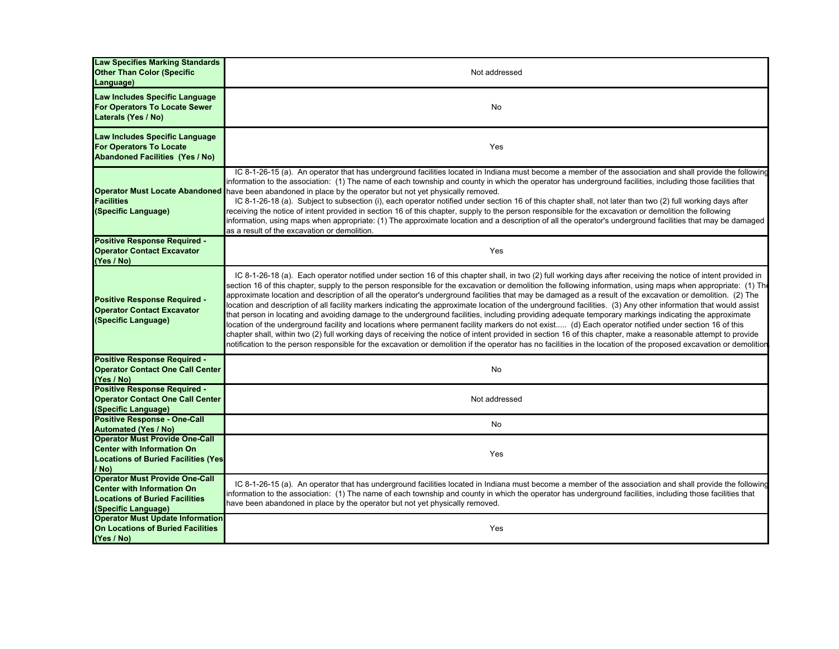| <b>Law Specifies Marking Standards</b><br><b>Other Than Color (Specific</b><br>Language)                                                   | Not addressed                                                                                                                                                                                                                                                                                                                                                                                                                                                                                                                                                                                                                                                                                                                                                                                                                                                                                                                                                                                                                                                                                                                                                                                                                                                                                                             |
|--------------------------------------------------------------------------------------------------------------------------------------------|---------------------------------------------------------------------------------------------------------------------------------------------------------------------------------------------------------------------------------------------------------------------------------------------------------------------------------------------------------------------------------------------------------------------------------------------------------------------------------------------------------------------------------------------------------------------------------------------------------------------------------------------------------------------------------------------------------------------------------------------------------------------------------------------------------------------------------------------------------------------------------------------------------------------------------------------------------------------------------------------------------------------------------------------------------------------------------------------------------------------------------------------------------------------------------------------------------------------------------------------------------------------------------------------------------------------------|
| Law Includes Specific Language<br>For Operators To Locate Sewer<br>Laterals (Yes / No)                                                     | No                                                                                                                                                                                                                                                                                                                                                                                                                                                                                                                                                                                                                                                                                                                                                                                                                                                                                                                                                                                                                                                                                                                                                                                                                                                                                                                        |
| Law Includes Specific Language<br><b>For Operators To Locate</b><br><b>Abandoned Facilities (Yes / No)</b>                                 | Yes                                                                                                                                                                                                                                                                                                                                                                                                                                                                                                                                                                                                                                                                                                                                                                                                                                                                                                                                                                                                                                                                                                                                                                                                                                                                                                                       |
| <b>Facilities</b><br>(Specific Language)                                                                                                   | IC 8-1-26-15 (a). An operator that has underground facilities located in Indiana must become a member of the association and shall provide the following<br>information to the association: (1) The name of each township and county in which the operator has underground facilities, including those facilities that<br>Operator Must Locate Abandoned have been abandoned in place by the operator but not yet physically removed.<br>IC 8-1-26-18 (a). Subject to subsection (i), each operator notified under section 16 of this chapter shall, not later than two (2) full working days after<br>receiving the notice of intent provided in section 16 of this chapter, supply to the person responsible for the excavation or demolition the following<br>information, using maps when appropriate: (1) The approximate location and a description of all the operator's underground facilities that may be damaged<br>as a result of the excavation or demolition.                                                                                                                                                                                                                                                                                                                                                |
| <b>Positive Response Required -</b><br><b>Operator Contact Excavator</b><br>(Yes / No)                                                     | Yes                                                                                                                                                                                                                                                                                                                                                                                                                                                                                                                                                                                                                                                                                                                                                                                                                                                                                                                                                                                                                                                                                                                                                                                                                                                                                                                       |
| Positive Response Required -<br><b>Operator Contact Excavator</b><br>(Specific Language)                                                   | IC 8-1-26-18 (a). Each operator notified under section 16 of this chapter shall, in two (2) full working days after receiving the notice of intent provided in<br>section 16 of this chapter, supply to the person responsible for the excavation or demolition the following information, using maps when appropriate: (1) The<br>approximate location and description of all the operator's underground facilities that may be damaged as a result of the excavation or demolition. (2) The<br>location and description of all facility markers indicating the approximate location of the underground facilities. (3) Any other information that would assist<br>that person in locating and avoiding damage to the underground facilities, including providing adequate temporary markings indicating the approximate<br>location of the underground facility and locations where permanent facility markers do not exist (d) Each operator notified under section 16 of this<br>chapter shall, within two (2) full working days of receiving the notice of intent provided in section 16 of this chapter, make a reasonable attempt to provide<br>notification to the person responsible for the excavation or demolition if the operator has no facilities in the location of the proposed excavation or demolition |
| <b>Positive Response Required -</b><br><b>Operator Contact One Call Center</b><br>(Yes / No)                                               | No                                                                                                                                                                                                                                                                                                                                                                                                                                                                                                                                                                                                                                                                                                                                                                                                                                                                                                                                                                                                                                                                                                                                                                                                                                                                                                                        |
| <b>Positive Response Required -</b><br><b>Operator Contact One Call Center</b><br>(Specific Language)                                      | Not addressed                                                                                                                                                                                                                                                                                                                                                                                                                                                                                                                                                                                                                                                                                                                                                                                                                                                                                                                                                                                                                                                                                                                                                                                                                                                                                                             |
| <b>Positive Response - One-Call</b><br><b>Automated (Yes / No)</b>                                                                         | No                                                                                                                                                                                                                                                                                                                                                                                                                                                                                                                                                                                                                                                                                                                                                                                                                                                                                                                                                                                                                                                                                                                                                                                                                                                                                                                        |
| <b>Operator Must Provide One-Call</b><br><b>Center with Information On</b><br><b>Locations of Buried Facilities (Yes)</b><br>/ No)         | Yes                                                                                                                                                                                                                                                                                                                                                                                                                                                                                                                                                                                                                                                                                                                                                                                                                                                                                                                                                                                                                                                                                                                                                                                                                                                                                                                       |
| <b>Operator Must Provide One-Call</b><br><b>Center with Information On</b><br><b>Locations of Buried Facilities</b><br>(Specific Language) | IC 8-1-26-15 (a). An operator that has underground facilities located in Indiana must become a member of the association and shall provide the following<br>information to the association: (1) The name of each township and county in which the operator has underground facilities, including those facilities that<br>have been abandoned in place by the operator but not yet physically removed.                                                                                                                                                                                                                                                                                                                                                                                                                                                                                                                                                                                                                                                                                                                                                                                                                                                                                                                    |
| <b>Operator Must Update Information</b><br>On Locations of Buried Facilities<br>(Yes / No)                                                 | Yes                                                                                                                                                                                                                                                                                                                                                                                                                                                                                                                                                                                                                                                                                                                                                                                                                                                                                                                                                                                                                                                                                                                                                                                                                                                                                                                       |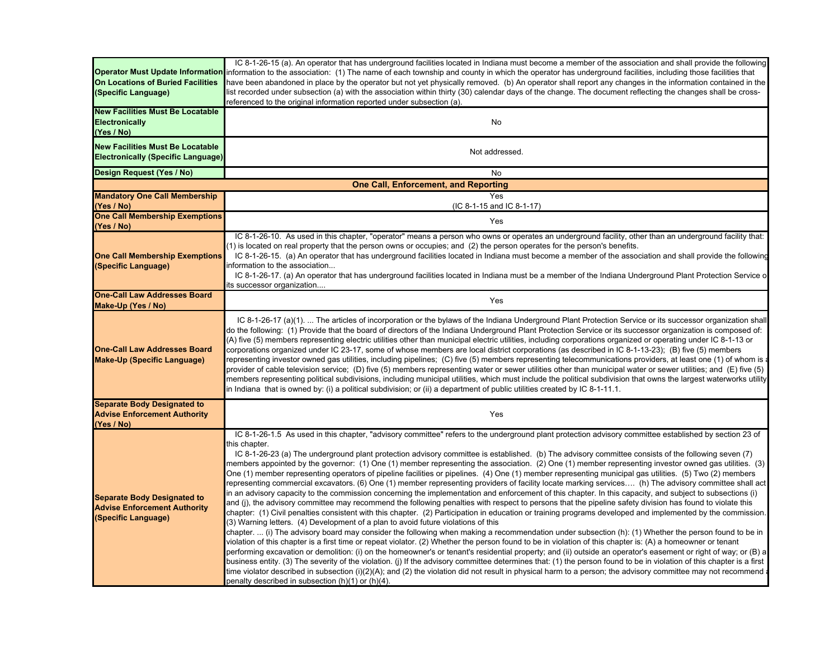| <b>On Locations of Buried Facilities</b><br>(Specific Language)<br><b>New Facilities Must Be Locatable</b><br><b>Electronically</b><br>(Yes / No)<br><b>New Facilities Must Be Locatable</b><br><b>Electronically (Specific Language)</b> | IC 8-1-26-15 (a). An operator that has underground facilities located in Indiana must become a member of the association and shall provide the following<br><b>Operator Must Update Information i</b> nformation to the association: (1) The name of each township and county in which the operator has underground facilities, including those facilities that<br>have been abandoned in place by the operator but not yet physically removed. (b) An operator shall report any changes in the information contained in the<br>list recorded under subsection (a) with the association within thirty (30) calendar days of the change. The document reflecting the changes shall be cross-<br>referenced to the original information reported under subsection (a).<br>No<br>Not addressed.                                                                                                                                                                                                                                                                                                                                                                                                                                                                                                                                                                                                                                                                                                                                                                                                                                                                                                                                                                                                                                                                                                                                                                                                                                                                                                                                                                                                                                                                                          |
|-------------------------------------------------------------------------------------------------------------------------------------------------------------------------------------------------------------------------------------------|---------------------------------------------------------------------------------------------------------------------------------------------------------------------------------------------------------------------------------------------------------------------------------------------------------------------------------------------------------------------------------------------------------------------------------------------------------------------------------------------------------------------------------------------------------------------------------------------------------------------------------------------------------------------------------------------------------------------------------------------------------------------------------------------------------------------------------------------------------------------------------------------------------------------------------------------------------------------------------------------------------------------------------------------------------------------------------------------------------------------------------------------------------------------------------------------------------------------------------------------------------------------------------------------------------------------------------------------------------------------------------------------------------------------------------------------------------------------------------------------------------------------------------------------------------------------------------------------------------------------------------------------------------------------------------------------------------------------------------------------------------------------------------------------------------------------------------------------------------------------------------------------------------------------------------------------------------------------------------------------------------------------------------------------------------------------------------------------------------------------------------------------------------------------------------------------------------------------------------------------------------------------------------------|
| Design Request (Yes / No)                                                                                                                                                                                                                 | No                                                                                                                                                                                                                                                                                                                                                                                                                                                                                                                                                                                                                                                                                                                                                                                                                                                                                                                                                                                                                                                                                                                                                                                                                                                                                                                                                                                                                                                                                                                                                                                                                                                                                                                                                                                                                                                                                                                                                                                                                                                                                                                                                                                                                                                                                    |
| <b>Mandatory One Call Membership</b>                                                                                                                                                                                                      | <b>One Call, Enforcement, and Reporting</b><br>Yes                                                                                                                                                                                                                                                                                                                                                                                                                                                                                                                                                                                                                                                                                                                                                                                                                                                                                                                                                                                                                                                                                                                                                                                                                                                                                                                                                                                                                                                                                                                                                                                                                                                                                                                                                                                                                                                                                                                                                                                                                                                                                                                                                                                                                                    |
| (Yes / No)                                                                                                                                                                                                                                | (IC 8-1-15 and IC 8-1-17)                                                                                                                                                                                                                                                                                                                                                                                                                                                                                                                                                                                                                                                                                                                                                                                                                                                                                                                                                                                                                                                                                                                                                                                                                                                                                                                                                                                                                                                                                                                                                                                                                                                                                                                                                                                                                                                                                                                                                                                                                                                                                                                                                                                                                                                             |
| <b>One Call Membership Exemptions</b><br>(Yes / No)                                                                                                                                                                                       | Yes                                                                                                                                                                                                                                                                                                                                                                                                                                                                                                                                                                                                                                                                                                                                                                                                                                                                                                                                                                                                                                                                                                                                                                                                                                                                                                                                                                                                                                                                                                                                                                                                                                                                                                                                                                                                                                                                                                                                                                                                                                                                                                                                                                                                                                                                                   |
| <b>One Call Membership Exemptions</b><br>(Specific Language)                                                                                                                                                                              | IC 8-1-26-10. As used in this chapter, "operator" means a person who owns or operates an underground facility, other than an underground facility that:<br>(1) is located on real property that the person owns or occupies; and (2) the person operates for the person's benefits.<br>IC 8-1-26-15. (a) An operator that has underground facilities located in Indiana must become a member of the association and shall provide the following<br>information to the association<br>IC 8-1-26-17. (a) An operator that has underground facilities located in Indiana must be a member of the Indiana Underground Plant Protection Service o<br>its successor organization                                                                                                                                                                                                                                                                                                                                                                                                                                                                                                                                                                                                                                                                                                                                                                                                                                                                                                                                                                                                                                                                                                                                                                                                                                                                                                                                                                                                                                                                                                                                                                                                            |
| <b>One-Call Law Addresses Board</b><br>Make-Up (Yes / No)                                                                                                                                                                                 | Yes                                                                                                                                                                                                                                                                                                                                                                                                                                                                                                                                                                                                                                                                                                                                                                                                                                                                                                                                                                                                                                                                                                                                                                                                                                                                                                                                                                                                                                                                                                                                                                                                                                                                                                                                                                                                                                                                                                                                                                                                                                                                                                                                                                                                                                                                                   |
| <b>One-Call Law Addresses Board</b><br><b>Make-Up (Specific Language)</b>                                                                                                                                                                 | IC 8-1-26-17 (a)(1).  The articles of incorporation or the bylaws of the Indiana Underground Plant Protection Service or its successor organization shall<br>do the following: (1) Provide that the board of directors of the Indiana Underground Plant Protection Service or its successor organization is composed of:<br>(A) five (5) members representing electric utilities other than municipal electric utilities, including corporations organized or operating under IC 8-1-13 or<br>corporations organized under IC 23-17, some of whose members are local district corporations (as described in IC 8-1-13-23); (B) five (5) members<br>representing investor owned gas utilities, including pipelines; (C) five (5) members representing telecommunications providers, at least one (1) of whom is a<br>provider of cable television service; (D) five (5) members representing water or sewer utilities other than municipal water or sewer utilities; and (E) five (5)<br>members representing political subdivisions, including municipal utilities, which must include the political subdivision that owns the largest waterworks utility<br>in Indiana that is owned by: (i) a political subdivision; or (ii) a department of public utilities created by IC 8-1-11.1.                                                                                                                                                                                                                                                                                                                                                                                                                                                                                                                                                                                                                                                                                                                                                                                                                                                                                                                                                                                               |
| <b>Separate Body Designated to</b><br><b>Advise Enforcement Authority</b><br>(Yes / No)                                                                                                                                                   | Yes                                                                                                                                                                                                                                                                                                                                                                                                                                                                                                                                                                                                                                                                                                                                                                                                                                                                                                                                                                                                                                                                                                                                                                                                                                                                                                                                                                                                                                                                                                                                                                                                                                                                                                                                                                                                                                                                                                                                                                                                                                                                                                                                                                                                                                                                                   |
| <b>Separate Body Designated to</b><br><b>Advise Enforcement Authority</b><br>(Specific Language)                                                                                                                                          | IC 8-1-26-1.5 As used in this chapter, "advisory committee" refers to the underground plant protection advisory committee established by section 23 of<br>this chapter.<br>IC 8-1-26-23 (a) The underground plant protection advisory committee is established. (b) The advisory committee consists of the following seven (7)<br>members appointed by the governor: (1) One (1) member representing the association. (2) One (1) member representing investor owned gas utilities. (3)<br>One (1) member representing operators of pipeline facilities or pipelines. (4) One (1) member representing municipal gas utilities. (5) Two (2) members<br>representing commercial excavators. (6) One (1) member representing providers of facility locate marking services (h) The advisory committee shall act<br>in an advisory capacity to the commission concerning the implementation and enforcement of this chapter. In this capacity, and subject to subsections (i)<br>and (j), the advisory committee may recommend the following penalties with respect to persons that the pipeline safety division has found to violate this<br>chapter: (1) Civil penalties consistent with this chapter. (2) Participation in education or training programs developed and implemented by the commission.<br>(3) Warning letters. (4) Development of a plan to avoid future violations of this<br>chapter. … (i) The advisory board may consider the following when making a recommendation under subsection (h): (1) Whether the person found to be in<br>violation of this chapter is a first time or repeat violator. (2) Whether the person found to be in violation of this chapter is: (A) a homeowner or tenant<br>performing excavation or demolition: (i) on the homeowner's or tenant's residential property; and (ii) outside an operator's easement or right of way; or (B) a<br>business entity. (3) The severity of the violation. (j) If the advisory committee determines that: (1) the person found to be in violation of this chapter is a first<br>time violator described in subsection (i)(2)(A); and (2) the violation did not result in physical harm to a person; the advisory committee may not recommend a<br>penalty described in subsection (h)(1) or (h)(4). |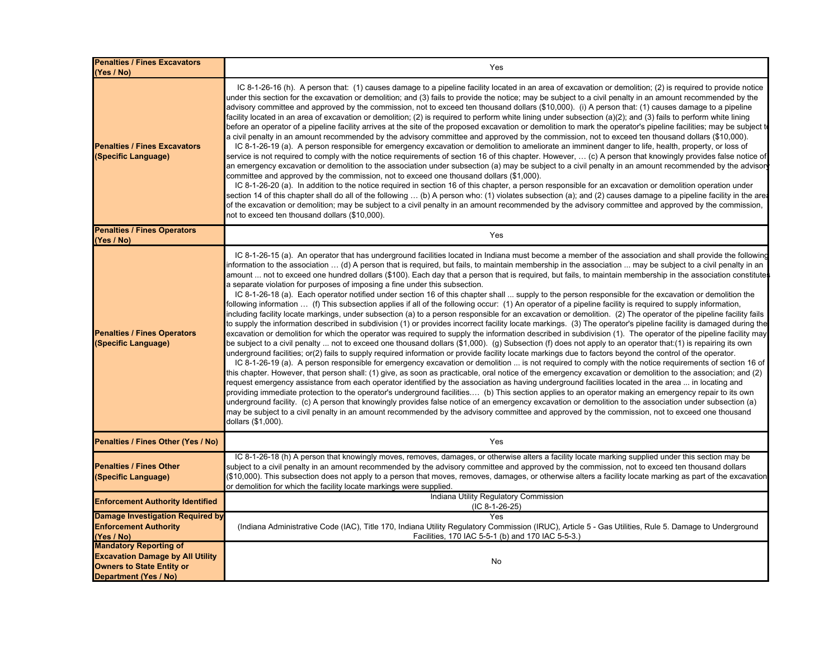| <b>Penalties / Fines Excavators</b><br>(Yes / No)                                                                                     | Yes                                                                                                                                                                                                                                                                                                                                                                                                                                                                                                                                                                                                                                                                                                                                                                                                                                                                                                                                                                                                                                                                                                                                                                                                                                                                                                                                                                                                                                                                                                                                                                                                                                                                                                                                                                                                                                                                                                                                                                                                                                                                                                                                                                                                                                                                                                                                                                                                                                                                                                                                                                                                                                                                                                                       |
|---------------------------------------------------------------------------------------------------------------------------------------|---------------------------------------------------------------------------------------------------------------------------------------------------------------------------------------------------------------------------------------------------------------------------------------------------------------------------------------------------------------------------------------------------------------------------------------------------------------------------------------------------------------------------------------------------------------------------------------------------------------------------------------------------------------------------------------------------------------------------------------------------------------------------------------------------------------------------------------------------------------------------------------------------------------------------------------------------------------------------------------------------------------------------------------------------------------------------------------------------------------------------------------------------------------------------------------------------------------------------------------------------------------------------------------------------------------------------------------------------------------------------------------------------------------------------------------------------------------------------------------------------------------------------------------------------------------------------------------------------------------------------------------------------------------------------------------------------------------------------------------------------------------------------------------------------------------------------------------------------------------------------------------------------------------------------------------------------------------------------------------------------------------------------------------------------------------------------------------------------------------------------------------------------------------------------------------------------------------------------------------------------------------------------------------------------------------------------------------------------------------------------------------------------------------------------------------------------------------------------------------------------------------------------------------------------------------------------------------------------------------------------------------------------------------------------------------------------------------------------|
| <b>Penalties / Fines Excavators</b><br>(Specific Language)                                                                            | IC 8-1-26-16 (h). A person that: (1) causes damage to a pipeline facility located in an area of excavation or demolition; (2) is required to provide notice<br>under this section for the excavation or demolition; and (3) fails to provide the notice; may be subject to a civil penalty in an amount recommended by the<br>advisory committee and approved by the commission, not to exceed ten thousand dollars (\$10,000). (i) A person that: (1) causes damage to a pipeline<br>facility located in an area of excavation or demolition; (2) is required to perform white lining under subsection (a)(2); and (3) fails to perform white lining<br>before an operator of a pipeline facility arrives at the site of the proposed excavation or demolition to mark the operator's pipeline facilities; may be subject t<br>a civil penalty in an amount recommended by the advisory committee and approved by the commission, not to exceed ten thousand dollars (\$10,000).<br>IC 8-1-26-19 (a). A person responsible for emergency excavation or demolition to ameliorate an imminent danger to life, health, property, or loss of<br>service is not required to comply with the notice requirements of section 16 of this chapter. However, … (c) A person that knowingly provides false notice of<br>an emergency excavation or demolition to the association under subsection (a) may be subject to a civil penalty in an amount recommended by the advisor<br>committee and approved by the commission, not to exceed one thousand dollars (\$1,000).<br>IC 8-1-26-20 (a). In addition to the notice required in section 16 of this chapter, a person responsible for an excavation or demolition operation under<br>section 14 of this chapter shall do all of the following … (b) A person who: (1) violates subsection (a); and (2) causes damage to a pipeline facility in the area<br>of the excavation or demolition; may be subject to a civil penalty in an amount recommended by the advisory committee and approved by the commission,<br>not to exceed ten thousand dollars (\$10,000).                                                                                                                                                                                                                                                                                                                                                                                                                                                                                                                                                                                                             |
| <b>Penalties / Fines Operators</b><br>(Yes / No)                                                                                      | Yes                                                                                                                                                                                                                                                                                                                                                                                                                                                                                                                                                                                                                                                                                                                                                                                                                                                                                                                                                                                                                                                                                                                                                                                                                                                                                                                                                                                                                                                                                                                                                                                                                                                                                                                                                                                                                                                                                                                                                                                                                                                                                                                                                                                                                                                                                                                                                                                                                                                                                                                                                                                                                                                                                                                       |
| <b>Penalties / Fines Operators</b><br>(Specific Language)                                                                             | IC 8-1-26-15 (a). An operator that has underground facilities located in Indiana must become a member of the association and shall provide the following<br>nformation to the association … (d) A person that is required, but fails, to maintain membership in the association … may be subject to a civil penalty in an<br>amount  not to exceed one hundred dollars (\$100). Each day that a person that is required, but fails, to maintain membership in the association constitutes<br>a separate violation for purposes of imposing a fine under this subsection.<br>IC 8-1-26-18 (a). Each operator notified under section 16 of this chapter shall  supply to the person responsible for the excavation or demolition the<br>following information  (f) This subsection applies if all of the following occur: (1) An operator of a pipeline facility is required to supply information,<br>including facility locate markings, under subsection (a) to a person responsible for an excavation or demolition. (2) The operator of the pipeline facility fails<br>to supply the information described in subdivision (1) or provides incorrect facility locate markings. (3) The operator's pipeline facility is damaged during the<br>excavation or demolition for which the operator was required to supply the information described in subdivision (1). The operator of the pipeline facility may<br>be subject to a civil penalty  not to exceed one thousand dollars (\$1,000). (g) Subsection (f) does not apply to an operator that:(1) is repairing its own<br>underground facilities; or(2) fails to supply required information or provide facility locate markings due to factors beyond the control of the operator.<br>IC 8-1-26-19 (a). A person responsible for emergency excavation or demolition  is not required to comply with the notice requirements of section 16 of<br>this chapter. However, that person shall: (1) give, as soon as practicable, oral notice of the emergency excavation or demolition to the association; and (2)<br>request emergency assistance from each operator identified by the association as having underground facilities located in the area  in locating and<br>providing immediate protection to the operator's underground facilities (b) This section applies to an operator making an emergency repair to its own<br>underground facility. (c) A person that knowingly provides false notice of an emergency excavation or demolition to the association under subsection (a)<br>may be subject to a civil penalty in an amount recommended by the advisory committee and approved by the commission, not to exceed one thousand<br>dollars (\$1,000). |
| Penalties / Fines Other (Yes / No)                                                                                                    | Yes                                                                                                                                                                                                                                                                                                                                                                                                                                                                                                                                                                                                                                                                                                                                                                                                                                                                                                                                                                                                                                                                                                                                                                                                                                                                                                                                                                                                                                                                                                                                                                                                                                                                                                                                                                                                                                                                                                                                                                                                                                                                                                                                                                                                                                                                                                                                                                                                                                                                                                                                                                                                                                                                                                                       |
| <b>Penalties / Fines Other</b><br>(Specific Language)                                                                                 | IC 8-1-26-18 (h) A person that knowingly moves, removes, damages, or otherwise alters a facility locate marking supplied under this section may be<br>subject to a civil penalty in an amount recommended by the advisory committee and approved by the commission, not to exceed ten thousand dollars<br>(\$10,000). This subsection does not apply to a person that moves, removes, damages, or otherwise alters a facility locate marking as part of the excavation<br>or demolition for which the facility locate markings were supplied.                                                                                                                                                                                                                                                                                                                                                                                                                                                                                                                                                                                                                                                                                                                                                                                                                                                                                                                                                                                                                                                                                                                                                                                                                                                                                                                                                                                                                                                                                                                                                                                                                                                                                                                                                                                                                                                                                                                                                                                                                                                                                                                                                                             |
| <b>Enforcement Authority Identified</b>                                                                                               | Indiana Utility Regulatory Commission<br>$(IC 8-1-26-25)$                                                                                                                                                                                                                                                                                                                                                                                                                                                                                                                                                                                                                                                                                                                                                                                                                                                                                                                                                                                                                                                                                                                                                                                                                                                                                                                                                                                                                                                                                                                                                                                                                                                                                                                                                                                                                                                                                                                                                                                                                                                                                                                                                                                                                                                                                                                                                                                                                                                                                                                                                                                                                                                                 |
| <b>Damage Investigation Required by</b><br><b>Enforcement Authority</b><br>(Yes / No)                                                 | Yes<br>(Indiana Administrative Code (IAC), Title 170, Indiana Utility Regulatory Commission (IRUC), Article 5 - Gas Utilities, Rule 5. Damage to Underground<br>Facilities, 170 IAC 5-5-1 (b) and 170 IAC 5-5-3.)                                                                                                                                                                                                                                                                                                                                                                                                                                                                                                                                                                                                                                                                                                                                                                                                                                                                                                                                                                                                                                                                                                                                                                                                                                                                                                                                                                                                                                                                                                                                                                                                                                                                                                                                                                                                                                                                                                                                                                                                                                                                                                                                                                                                                                                                                                                                                                                                                                                                                                         |
| <b>Mandatory Reporting of</b><br><b>Excavation Damage by All Utility</b><br><b>Owners to State Entity or</b><br>Department (Yes / No) | No                                                                                                                                                                                                                                                                                                                                                                                                                                                                                                                                                                                                                                                                                                                                                                                                                                                                                                                                                                                                                                                                                                                                                                                                                                                                                                                                                                                                                                                                                                                                                                                                                                                                                                                                                                                                                                                                                                                                                                                                                                                                                                                                                                                                                                                                                                                                                                                                                                                                                                                                                                                                                                                                                                                        |